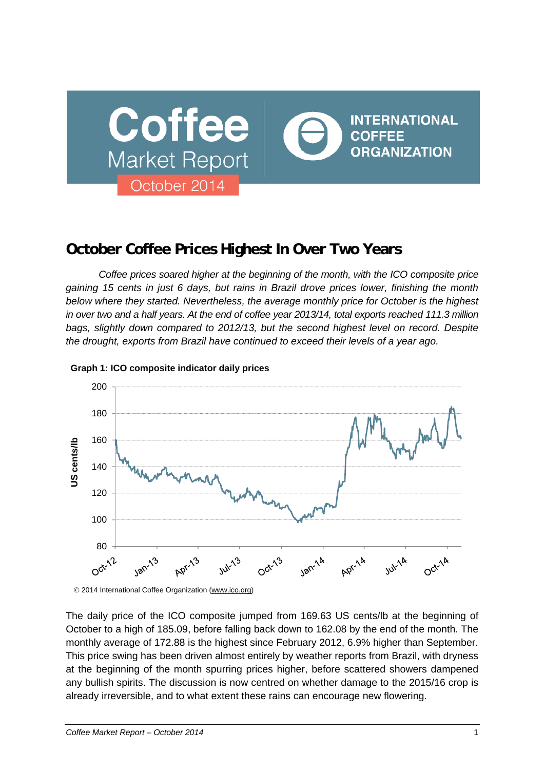

# **October Coffee Prices Highest In Over Two Years**

*Coffee prices soared higher at the beginning of the month, with the ICO composite price gaining 15 cents in just 6 days, but rains in Brazil drove prices lower, finishing the month below where they started. Nevertheless, the average monthly price for October is the highest in over two and a half years. At the end of coffee year 2013/14, total exports reached 111.3 million bags, slightly down compared to 2012/13, but the second highest level on record. Despite the drought, exports from Brazil have continued to exceed their levels of a year ago.* 



## **Graph 1: ICO composite indicator daily prices**

2014 International Coffee Organization (www.ico.org)

The daily price of the ICO composite jumped from 169.63 US cents/lb at the beginning of October to a high of 185.09, before falling back down to 162.08 by the end of the month. The monthly average of 172.88 is the highest since February 2012, 6.9% higher than September. This price swing has been driven almost entirely by weather reports from Brazil, with dryness at the beginning of the month spurring prices higher, before scattered showers dampened any bullish spirits. The discussion is now centred on whether damage to the 2015/16 crop is already irreversible, and to what extent these rains can encourage new flowering.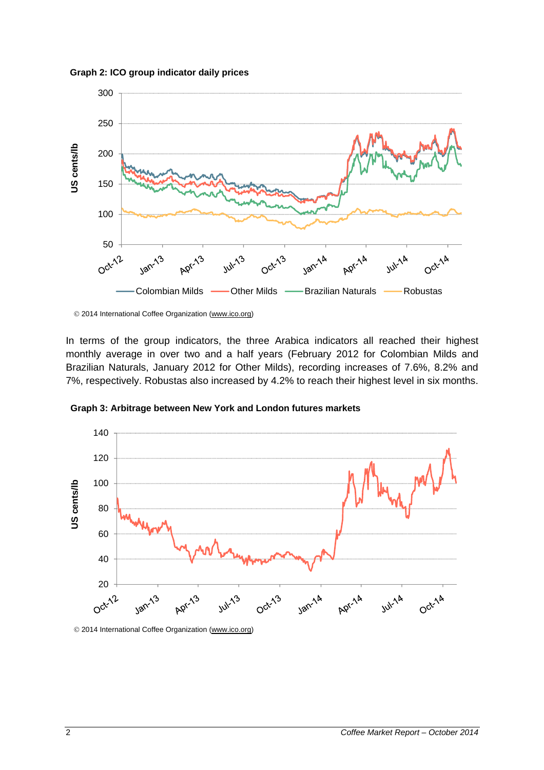



2014 International Coffee Organization (www.ico.org)

In terms of the group indicators, the three Arabica indicators all reached their highest monthly average in over two and a half years (February 2012 for Colombian Milds and Brazilian Naturals, January 2012 for Other Milds), recording increases of 7.6%, 8.2% and 7%, respectively. Robustas also increased by 4.2% to reach their highest level in six months.



**Graph 3: Arbitrage between New York and London futures markets**

2014 International Coffee Organization (www.ico.org)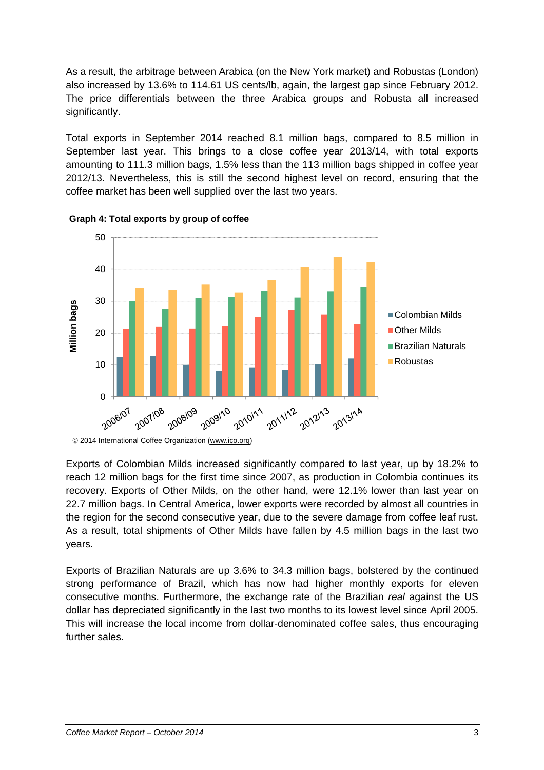As a result, the arbitrage between Arabica (on the New York market) and Robustas (London) also increased by 13.6% to 114.61 US cents/lb, again, the largest gap since February 2012. The price differentials between the three Arabica groups and Robusta all increased significantly.

Total exports in September 2014 reached 8.1 million bags, compared to 8.5 million in September last year. This brings to a close coffee year 2013/14, with total exports amounting to 111.3 million bags, 1.5% less than the 113 million bags shipped in coffee year 2012/13. Nevertheless, this is still the second highest level on record, ensuring that the coffee market has been well supplied over the last two years.





2014 International Coffee Organization (www.ico.org)

Exports of Colombian Milds increased significantly compared to last year, up by 18.2% to reach 12 million bags for the first time since 2007, as production in Colombia continues its recovery. Exports of Other Milds, on the other hand, were 12.1% lower than last year on 22.7 million bags. In Central America, lower exports were recorded by almost all countries in the region for the second consecutive year, due to the severe damage from coffee leaf rust. As a result, total shipments of Other Milds have fallen by 4.5 million bags in the last two years.

Exports of Brazilian Naturals are up 3.6% to 34.3 million bags, bolstered by the continued strong performance of Brazil, which has now had higher monthly exports for eleven consecutive months. Furthermore, the exchange rate of the Brazilian *real* against the US dollar has depreciated significantly in the last two months to its lowest level since April 2005. This will increase the local income from dollar-denominated coffee sales, thus encouraging further sales.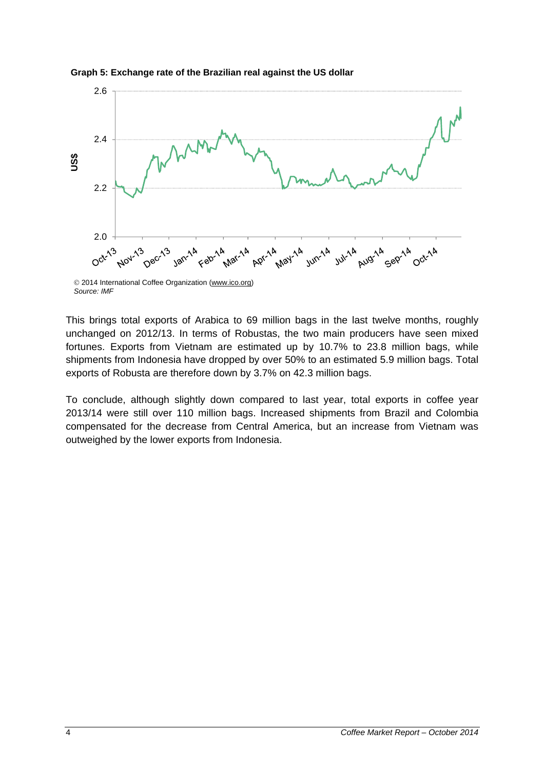

**Graph 5: Exchange rate of the Brazilian real against the US dollar**

*Source: IMF*

This brings total exports of Arabica to 69 million bags in the last twelve months, roughly unchanged on 2012/13. In terms of Robustas, the two main producers have seen mixed fortunes. Exports from Vietnam are estimated up by 10.7% to 23.8 million bags, while shipments from Indonesia have dropped by over 50% to an estimated 5.9 million bags. Total exports of Robusta are therefore down by 3.7% on 42.3 million bags.

To conclude, although slightly down compared to last year, total exports in coffee year 2013/14 were still over 110 million bags. Increased shipments from Brazil and Colombia compensated for the decrease from Central America, but an increase from Vietnam was outweighed by the lower exports from Indonesia.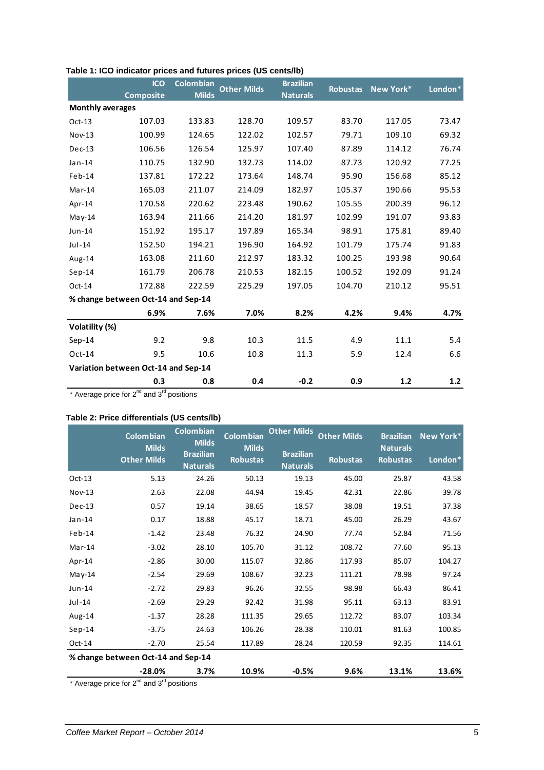|                                     | <b>ICO</b><br><b>Composite</b> | <b>Colombian</b><br><b>Milds</b> | <b>Other Milds</b> | <b>Brazilian</b><br><b>Naturals</b> | <b>Robustas</b> | New York* | London* |
|-------------------------------------|--------------------------------|----------------------------------|--------------------|-------------------------------------|-----------------|-----------|---------|
| <b>Monthly averages</b>             |                                |                                  |                    |                                     |                 |           |         |
| $Oct-13$                            | 107.03                         | 133.83                           | 128.70             | 109.57                              | 83.70           | 117.05    | 73.47   |
| Nov-13                              | 100.99                         | 124.65                           | 122.02             | 102.57                              | 79.71           | 109.10    | 69.32   |
| $Dec-13$                            | 106.56                         | 126.54                           | 125.97             | 107.40                              | 87.89           | 114.12    | 76.74   |
| Jan-14                              | 110.75                         | 132.90                           | 132.73             | 114.02                              | 87.73           | 120.92    | 77.25   |
| Feb-14                              | 137.81                         | 172.22                           | 173.64             | 148.74                              | 95.90           | 156.68    | 85.12   |
| $Mar-14$                            | 165.03                         | 211.07                           | 214.09             | 182.97                              | 105.37          | 190.66    | 95.53   |
| Apr-14                              | 170.58                         | 220.62                           | 223.48             | 190.62                              | 105.55          | 200.39    | 96.12   |
| $May-14$                            | 163.94                         | 211.66                           | 214.20             | 181.97                              | 102.99          | 191.07    | 93.83   |
| Jun-14                              | 151.92                         | 195.17                           | 197.89             | 165.34                              | 98.91           | 175.81    | 89.40   |
| $Jul-14$                            | 152.50                         | 194.21                           | 196.90             | 164.92                              | 101.79          | 175.74    | 91.83   |
| Aug-14                              | 163.08                         | 211.60                           | 212.97             | 183.32                              | 100.25          | 193.98    | 90.64   |
| $Sep-14$                            | 161.79                         | 206.78                           | 210.53             | 182.15                              | 100.52          | 192.09    | 91.24   |
| Oct-14                              | 172.88                         | 222.59                           | 225.29             | 197.05                              | 104.70          | 210.12    | 95.51   |
| % change between Oct-14 and Sep-14  |                                |                                  |                    |                                     |                 |           |         |
|                                     | 6.9%                           | 7.6%                             | 7.0%               | 8.2%                                | 4.2%            | 9.4%      | 4.7%    |
| Volatility (%)                      |                                |                                  |                    |                                     |                 |           |         |
| $Sep-14$                            | 9.2                            | 9.8                              | 10.3               | 11.5                                | 4.9             | 11.1      | 5.4     |
| $Oct-14$                            | 9.5                            | 10.6                             | 10.8               | 11.3                                | 5.9             | 12.4      | 6.6     |
| Variation between Oct-14 and Sep-14 |                                |                                  |                    |                                     |                 |           |         |
|                                     | 0.3                            | 0.8                              | 0.4                | $-0.2$                              | 0.9             | $1.2$     | $1.2$   |

## **Table 1: ICO indicator prices and futures prices (US cents/lb)**

\* Average price for  $2^{nd}$  and  $3^{rd}$  positions

## **Table 2: Price differentials (US cents/lb)**

|          | <b>Colombian</b>                   | <b>Colombian</b><br><b>Milds</b>    | <b>Colombian</b>                | <b>Other Milds</b>                  | <b>Other Milds</b> | <b>Brazilian</b>                   | New York* |  |
|----------|------------------------------------|-------------------------------------|---------------------------------|-------------------------------------|--------------------|------------------------------------|-----------|--|
|          | <b>Milds</b><br><b>Other Milds</b> | <b>Brazilian</b><br><b>Naturals</b> | <b>Milds</b><br><b>Robustas</b> | <b>Brazilian</b><br><b>Naturals</b> | <b>Robustas</b>    | <b>Naturals</b><br><b>Robustas</b> | London*   |  |
| $Oct-13$ | 5.13                               | 24.26                               | 50.13                           | 19.13                               | 45.00              | 25.87                              | 43.58     |  |
| $Nov-13$ | 2.63                               | 22.08                               | 44.94                           | 19.45                               | 42.31              | 22.86                              | 39.78     |  |
| $Dec-13$ | 0.57                               | 19.14                               | 38.65                           | 18.57                               | 38.08              | 19.51                              | 37.38     |  |
| Jan-14   | 0.17                               | 18.88                               | 45.17                           | 18.71                               | 45.00              | 26.29                              | 43.67     |  |
| $Feb-14$ | $-1.42$                            | 23.48                               | 76.32                           | 24.90                               | 77.74              | 52.84                              | 71.56     |  |
| $Mar-14$ | $-3.02$                            | 28.10                               | 105.70                          | 31.12                               | 108.72             | 77.60                              | 95.13     |  |
| Apr-14   | $-2.86$                            | 30.00                               | 115.07                          | 32.86                               | 117.93             | 85.07                              | 104.27    |  |
| $May-14$ | $-2.54$                            | 29.69                               | 108.67                          | 32.23                               | 111.21             | 78.98                              | 97.24     |  |
| $Jun-14$ | $-2.72$                            | 29.83                               | 96.26                           | 32.55                               | 98.98              | 66.43                              | 86.41     |  |
| $Jul-14$ | $-2.69$                            | 29.29                               | 92.42                           | 31.98                               | 95.11              | 63.13                              | 83.91     |  |
| Aug-14   | $-1.37$                            | 28.28                               | 111.35                          | 29.65                               | 112.72             | 83.07                              | 103.34    |  |
| $Sep-14$ | $-3.75$                            | 24.63                               | 106.26                          | 28.38                               | 110.01             | 81.63                              | 100.85    |  |
| $Oct-14$ | $-2.70$                            | 25.54                               | 117.89                          | 28.24                               | 120.59             | 92.35                              | 114.61    |  |
|          | % change between Oct-14 and Sep-14 |                                     |                                 |                                     |                    |                                    |           |  |
|          | $-28.0%$                           | 3.7%                                | 10.9%                           | $-0.5%$                             | 9.6%               | 13.1%                              | 13.6%     |  |

\* Average price for  $2^{nd}$  and  $3^{rd}$  positions